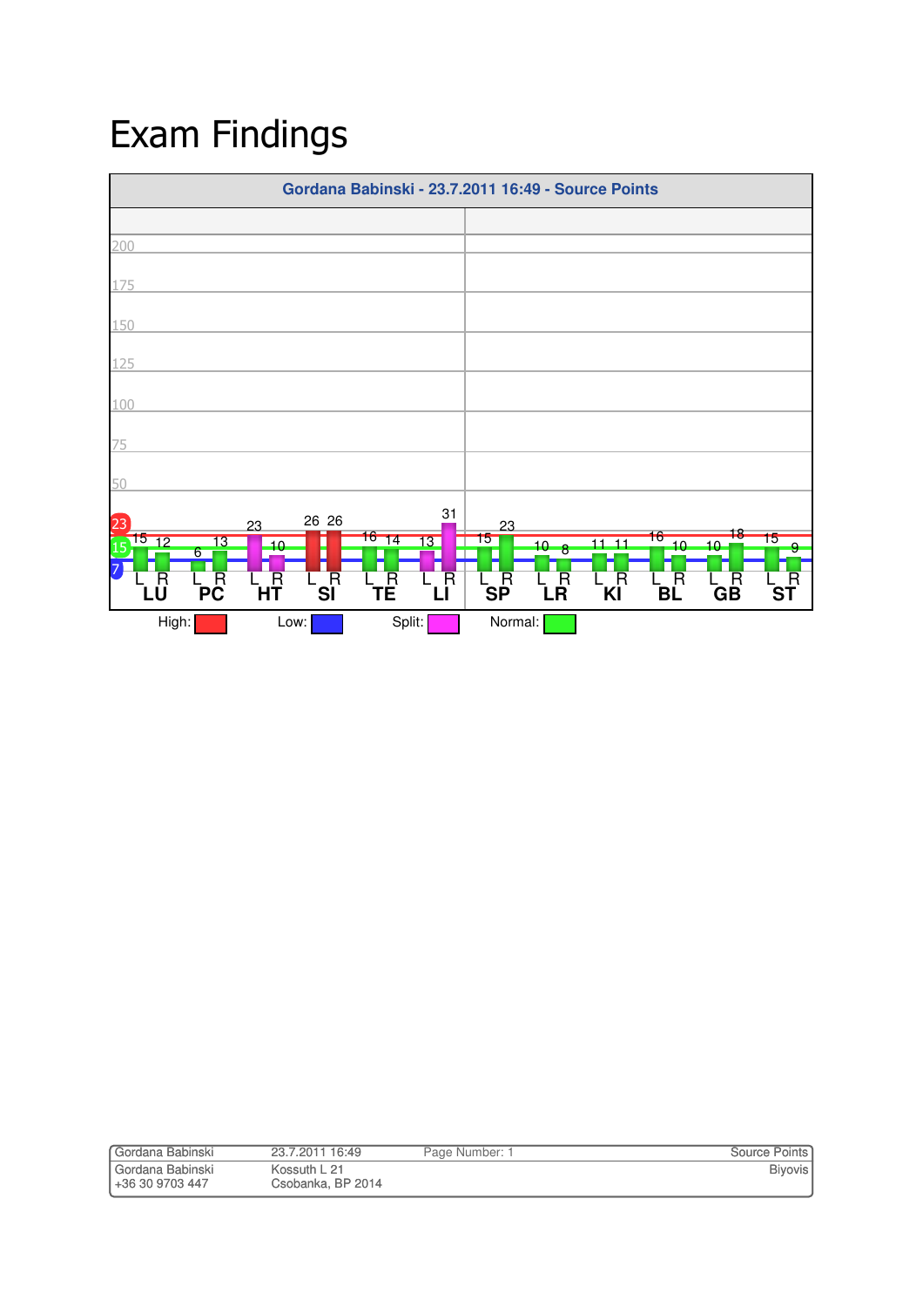## Exam Findings



| Gordana Babinski | 23.7.2011 16:49   | Page Number: 1 | <b>Source Points</b> |
|------------------|-------------------|----------------|----------------------|
| Gordana Babinski | Kossuth L 21      |                | <b>Biyovis</b>       |
| +36 30 9703 447  | Csobanka, BP 2014 |                |                      |